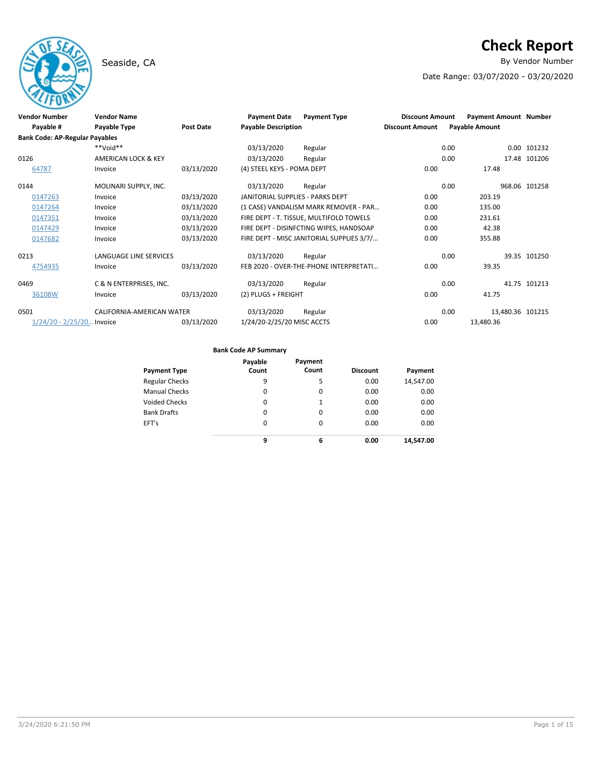# Seaside, CA **By Vendor Number**

# **Check Report**

Date Range: 03/07/2020 - 03/20/2020

| <b>Vendor Number</b>                  | <b>Vendor Name</b>        |                  | <b>Payment Date</b>              | <b>Payment Type</b>                       | <b>Discount Amount</b> | <b>Payment Amount Number</b> |                  |               |
|---------------------------------------|---------------------------|------------------|----------------------------------|-------------------------------------------|------------------------|------------------------------|------------------|---------------|
| Payable #                             | Payable Type              | <b>Post Date</b> | <b>Payable Description</b>       |                                           | <b>Discount Amount</b> | <b>Payable Amount</b>        |                  |               |
| <b>Bank Code: AP-Regular Payables</b> |                           |                  |                                  |                                           |                        |                              |                  |               |
|                                       | **Void**                  |                  | 03/13/2020                       | Regular                                   |                        | 0.00                         |                  | 0.00 101232   |
| 0126                                  | AMERICAN LOCK & KEY       |                  | 03/13/2020                       | Regular                                   |                        | 0.00                         |                  | 17.48 101206  |
| 64787                                 | Invoice                   | 03/13/2020       | (4) STEEL KEYS - POMA DEPT       |                                           | 0.00                   | 17.48                        |                  |               |
| 0144                                  | MOLINARI SUPPLY, INC.     |                  | 03/13/2020                       | Regular                                   |                        | 0.00                         |                  | 968.06 101258 |
| 0147263                               | Invoice                   | 03/13/2020       | JANITORIAL SUPPLIES - PARKS DEPT |                                           | 0.00                   | 203.19                       |                  |               |
| 0147264                               | Invoice                   | 03/13/2020       |                                  | (1 CASE) VANDALISM MARK REMOVER - PAR     | 0.00                   | 135.00                       |                  |               |
| 0147351                               | Invoice                   | 03/13/2020       |                                  | FIRE DEPT - T. TISSUE, MULTIFOLD TOWELS   | 0.00                   | 231.61                       |                  |               |
| 0147429                               | Invoice                   | 03/13/2020       |                                  | FIRE DEPT - DISINFCTING WIPES, HANDSOAP   | 0.00                   | 42.38                        |                  |               |
| 0147682                               | Invoice                   | 03/13/2020       |                                  | FIRE DEPT - MISC JANITORIAL SUPPLIES 3/7/ | 0.00                   | 355.88                       |                  |               |
| 0213                                  | LANGUAGE LINE SERVICES    |                  | 03/13/2020                       | Regular                                   |                        | 0.00                         |                  | 39.35 101250  |
| 4754935                               | Invoice                   | 03/13/2020       |                                  | FEB 2020 - OVER-THE-PHONE INTERPRETATI    | 0.00                   | 39.35                        |                  |               |
| 0469                                  | C & N ENTERPRISES, INC.   |                  | 03/13/2020                       | Regular                                   |                        | 0.00                         |                  | 41.75 101213  |
| 36108W                                | Invoice                   | 03/13/2020       | (2) PLUGS + FREIGHT              |                                           | 0.00                   | 41.75                        |                  |               |
| 0501                                  | CALIFORNIA-AMERICAN WATER |                  | 03/13/2020                       | Regular                                   |                        | 0.00                         | 13,480.36 101215 |               |
| 1/24/20 - 2/25/20 Invoice             |                           | 03/13/2020       | 1/24/20-2/25/20 MISC ACCTS       |                                           | 0.00                   | 13,480.36                    |                  |               |

| <b>Payment Type</b>   | Payable<br>Count | Payment<br>Count | <b>Discount</b> | Payment   |
|-----------------------|------------------|------------------|-----------------|-----------|
| <b>Regular Checks</b> | 9                | 5                | 0.00            | 14,547.00 |
| <b>Manual Checks</b>  | 0                | 0                | 0.00            | 0.00      |
| Voided Checks         | $\Omega$         | $\mathbf{1}$     | 0.00            | 0.00      |
| <b>Bank Drafts</b>    | 0                | 0                | 0.00            | 0.00      |
| EFT's                 | $\Omega$         | 0                | 0.00            | 0.00      |
|                       | 9                | 6                | 0.00            | 14.547.00 |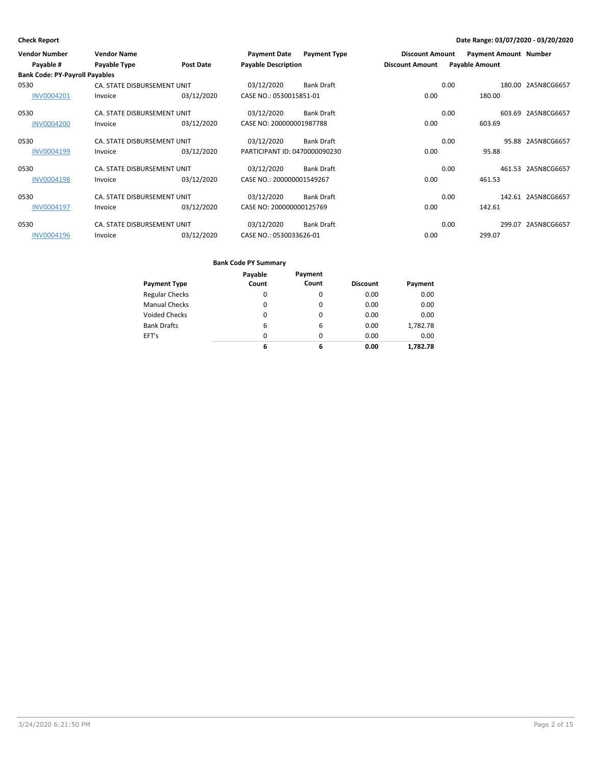| <b>Vendor Number</b><br>Payable #     | <b>Vendor Name</b><br>Payable Type | Post Date  | <b>Payment Date</b><br><b>Payable Description</b> | <b>Payment Type</b> | <b>Discount Amount</b><br><b>Discount Amount</b> |      | <b>Payment Amount Number</b><br><b>Payable Amount</b> |                    |
|---------------------------------------|------------------------------------|------------|---------------------------------------------------|---------------------|--------------------------------------------------|------|-------------------------------------------------------|--------------------|
| <b>Bank Code: PY-Payroll Payables</b> |                                    |            |                                                   |                     |                                                  |      |                                                       |                    |
| 0530                                  | CA. STATE DISBURSEMENT UNIT        |            | 03/12/2020                                        | <b>Bank Draft</b>   |                                                  | 0.00 |                                                       | 180.00 2A5N8CG6657 |
| <b>INV0004201</b>                     | Invoice                            | 03/12/2020 | CASE NO.: 0530015851-01                           |                     | 0.00                                             |      | 180.00                                                |                    |
| 0530                                  | CA. STATE DISBURSEMENT UNIT        |            | 03/12/2020                                        | <b>Bank Draft</b>   |                                                  | 0.00 |                                                       | 603.69 2A5N8CG6657 |
| <b>INV0004200</b>                     | Invoice                            | 03/12/2020 | CASE NO: 200000001987788                          |                     | 0.00                                             |      | 603.69                                                |                    |
| 0530                                  | CA. STATE DISBURSEMENT UNIT        |            | 03/12/2020                                        | <b>Bank Draft</b>   |                                                  | 0.00 |                                                       | 95.88 2A5N8CG6657  |
| <b>INV0004199</b>                     | Invoice                            | 03/12/2020 | PARTICIPANT ID: 0470000090230                     |                     | 0.00                                             |      | 95.88                                                 |                    |
| 0530                                  | CA. STATE DISBURSEMENT UNIT        |            | 03/12/2020                                        | <b>Bank Draft</b>   |                                                  | 0.00 |                                                       | 461.53 2A5N8CG6657 |
| <b>INV0004198</b>                     | Invoice                            | 03/12/2020 | CASE NO.: 200000001549267                         |                     | 0.00                                             |      | 461.53                                                |                    |
| 0530                                  | CA. STATE DISBURSEMENT UNIT        |            | 03/12/2020                                        | <b>Bank Draft</b>   |                                                  | 0.00 |                                                       | 142.61 2A5N8CG6657 |
| <b>INV0004197</b>                     | Invoice                            | 03/12/2020 | CASE NO: 200000000125769                          |                     | 0.00                                             |      | 142.61                                                |                    |
| 0530                                  | CA. STATE DISBURSEMENT UNIT        |            | 03/12/2020                                        | <b>Bank Draft</b>   |                                                  | 0.00 |                                                       | 299.07 2A5N8CG6657 |
| <b>INV0004196</b>                     | Invoice                            | 03/12/2020 | CASE NO.: 0530033626-01                           |                     | 0.00                                             |      | 299.07                                                |                    |

|                       | Payable | Payment |                 |          |
|-----------------------|---------|---------|-----------------|----------|
| <b>Payment Type</b>   | Count   | Count   | <b>Discount</b> | Payment  |
| <b>Regular Checks</b> | 0       | 0       | 0.00            | 0.00     |
| <b>Manual Checks</b>  | 0       | 0       | 0.00            | 0.00     |
| <b>Voided Checks</b>  | 0       | 0       | 0.00            | 0.00     |
| <b>Bank Drafts</b>    | 6       | 6       | 0.00            | 1,782.78 |
| EFT's                 | 0       | 0       | 0.00            | 0.00     |
|                       | 6       | 6       | 0.00            | 1.782.78 |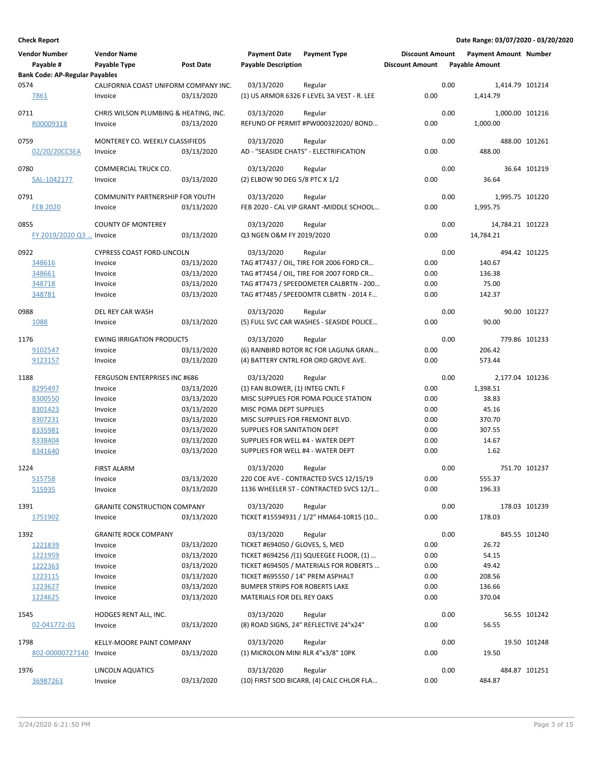| <b>Vendor Number</b><br>Payable #<br><b>Bank Code: AP-Regular Payables</b>        | <b>Vendor Name</b><br><b>Payable Type</b>                                                                         | <b>Post Date</b>                                                                               | <b>Payment Date</b><br><b>Payable Description</b>                                                                                                                                                                      | <b>Payment Type</b>                                                                                                                                                               | <b>Discount Amount</b><br><b>Discount Amount</b>     | <b>Payable Amount</b> | <b>Payment Amount Number</b>                                                       |               |
|-----------------------------------------------------------------------------------|-------------------------------------------------------------------------------------------------------------------|------------------------------------------------------------------------------------------------|------------------------------------------------------------------------------------------------------------------------------------------------------------------------------------------------------------------------|-----------------------------------------------------------------------------------------------------------------------------------------------------------------------------------|------------------------------------------------------|-----------------------|------------------------------------------------------------------------------------|---------------|
| 0574<br>7861                                                                      | CALIFORNIA COAST UNIFORM COMPANY INC.<br>Invoice                                                                  | 03/13/2020                                                                                     | 03/13/2020                                                                                                                                                                                                             | Regular<br>(1) US ARMOR 6326 F LEVEL 3A VEST - R. LEE                                                                                                                             | 0.00                                                 | 0.00                  | 1,414.79 101214<br>1,414.79                                                        |               |
| 0711<br>R00009318                                                                 | CHRIS WILSON PLUMBING & HEATING, INC.<br>Invoice                                                                  | 03/13/2020                                                                                     | 03/13/2020                                                                                                                                                                                                             | Regular<br>REFUND OF PERMIT #PW000322020/BOND                                                                                                                                     | 0.00                                                 | 0.00                  | 1,000.00 101216<br>1,000.00                                                        |               |
| 0759<br>02/20/20CCSEA                                                             | MONTEREY CO. WEEKLY CLASSIFIEDS<br>Invoice                                                                        | 03/13/2020                                                                                     | 03/13/2020                                                                                                                                                                                                             | Regular<br>AD - "SEASIDE CHATS" - ELECTRIFICATION                                                                                                                                 | 0.00                                                 | 0.00                  | 488.00                                                                             | 488.00 101261 |
| 0780<br>SAL-1042177                                                               | COMMERCIAL TRUCK CO.<br>Invoice                                                                                   | 03/13/2020                                                                                     | 03/13/2020<br>(2) ELBOW 90 DEG 5/8 PTC X 1/2                                                                                                                                                                           | Regular                                                                                                                                                                           | 0.00                                                 | 0.00                  | 36.64                                                                              | 36.64 101219  |
| 0791<br><b>FEB 2020</b>                                                           | COMMUNITY PARTNERSHIP FOR YOUTH<br>Invoice                                                                        | 03/13/2020                                                                                     | 03/13/2020                                                                                                                                                                                                             | Regular<br>FEB 2020 - CAL VIP GRANT -MIDDLE SCHOOL                                                                                                                                | 0.00                                                 | 0.00                  | 1,995.75 101220<br>1,995.75                                                        |               |
| 0855<br>FY 2019/2020 Q3  Invoice                                                  | <b>COUNTY OF MONTEREY</b>                                                                                         | 03/13/2020                                                                                     | 03/13/2020<br>Q3 NGEN O&M FY 2019/2020                                                                                                                                                                                 | Regular                                                                                                                                                                           | 0.00                                                 | 0.00                  | 14,784.21 101223<br>14,784.21                                                      |               |
| 0922<br>348616<br>348661<br>348718<br>348781                                      | <b>CYPRESS COAST FORD-LINCOLN</b><br>Invoice<br>Invoice<br>Invoice<br>Invoice                                     | 03/13/2020<br>03/13/2020<br>03/13/2020<br>03/13/2020                                           | 03/13/2020                                                                                                                                                                                                             | Regular<br>TAG #T7437 / OIL, TIRE FOR 2006 FORD CR<br>TAG #T7454 / OIL, TIRE FOR 2007 FORD CR<br>TAG #T7473 / SPEEDOMETER CALBRTN - 200<br>TAG #T7485 / SPEEDOMTR CLBRTN - 2014 F | 0.00<br>0.00<br>0.00<br>0.00                         | 0.00                  | 140.67<br>136.38<br>75.00<br>142.37                                                | 494.42 101225 |
| 0988<br>1088                                                                      | DEL REY CAR WASH<br>Invoice                                                                                       | 03/13/2020                                                                                     | 03/13/2020                                                                                                                                                                                                             | Regular<br>(5) FULL SVC CAR WASHES - SEASIDE POLICE                                                                                                                               | 0.00                                                 | 0.00                  | 90.00                                                                              | 90.00 101227  |
| 1176<br>9102547<br>9123157                                                        | <b>EWING IRRIGATION PRODUCTS</b><br>Invoice<br>Invoice                                                            | 03/13/2020<br>03/13/2020                                                                       | 03/13/2020                                                                                                                                                                                                             | Regular<br>(6) RAINBIRD ROTOR RC FOR LAGUNA GRAN<br>(4) BATTERY CNTRL FOR ORD GROVE AVE.                                                                                          | 0.00<br>0.00                                         | 0.00                  | 206.42<br>573.44                                                                   | 779.86 101233 |
| 1188<br>8295497<br>8300550<br>8301423<br>8307231<br>8335981<br>8338404<br>8341640 | <b>FERGUSON ENTERPRISES INC #686</b><br>Invoice<br>Invoice<br>Invoice<br>Invoice<br>Invoice<br>Invoice<br>Invoice | 03/13/2020<br>03/13/2020<br>03/13/2020<br>03/13/2020<br>03/13/2020<br>03/13/2020<br>03/13/2020 | 03/13/2020<br>(1) FAN BLOWER, (1) INTEG CNTL F<br>MISC POMA DEPT SUPPLIES<br>MISC SUPPLIES FOR FREMONT BLVD.<br>SUPPLIES FOR SANITATION DEPT<br>SUPPLIES FOR WELL #4 - WATER DEPT<br>SUPPLIES FOR WELL #4 - WATER DEPT | Regular<br>MISC SUPPLIES FOR POMA POLICE STATION                                                                                                                                  | 0.00<br>0.00<br>0.00<br>0.00<br>0.00<br>0.00<br>0.00 | 0.00                  | 2,177.04 101236<br>1,398.51<br>38.83<br>45.16<br>370.70<br>307.55<br>14.67<br>1.62 |               |
| 1224<br>515758<br>515935                                                          | <b>FIRST ALARM</b><br>Invoice<br>Invoice                                                                          | 03/13/2020<br>03/13/2020                                                                       | 03/13/2020                                                                                                                                                                                                             | Regular<br>220 COE AVE - CONTRACTED SVCS 12/15/19<br>1136 WHEELER ST - CONTRACTED SVCS 12/1                                                                                       | 0.00<br>0.00                                         | 0.00                  | 555.37<br>196.33                                                                   | 751.70 101237 |
| 1391<br>1751902                                                                   | <b>GRANITE CONSTRUCTION COMPANY</b><br>Invoice                                                                    | 03/13/2020                                                                                     | 03/13/2020                                                                                                                                                                                                             | Regular<br>TICKET #15594931 / 1/2" HMA64-10R15 (10                                                                                                                                | 0.00                                                 | 0.00                  | 178.03                                                                             | 178.03 101239 |
| 1392<br>1221839<br>1221959<br>1222363<br>1223115<br>1223627<br>1224625            | <b>GRANITE ROCK COMPANY</b><br>Invoice<br>Invoice<br>Invoice<br>Invoice<br>Invoice<br>Invoice                     | 03/13/2020<br>03/13/2020<br>03/13/2020<br>03/13/2020<br>03/13/2020<br>03/13/2020               | 03/13/2020<br>TICKET #694050 / GLOVES, S, MED<br>TICKET #695550 / 14" PREM ASPHALT<br><b>BUMPER STRIPS FOR ROBERTS LAKE</b><br>MATERIALS FOR DEL REY OAKS                                                              | Regular<br>TICKET #694256 /(1) SQUEEGEE FLOOR, (1)<br>TICKET #694505 / MATERIALS FOR ROBERTS                                                                                      | 0.00<br>0.00<br>0.00<br>0.00<br>0.00<br>0.00         | 0.00                  | 26.72<br>54.15<br>49.42<br>208.56<br>136.66<br>370.04                              | 845.55 101240 |
| 1545<br>02-041772-01                                                              | HODGES RENT ALL, INC.<br>Invoice                                                                                  | 03/13/2020                                                                                     | 03/13/2020                                                                                                                                                                                                             | Regular<br>(8) ROAD SIGNS, 24" REFLECTIVE 24"x24"                                                                                                                                 | 0.00                                                 | 0.00                  | 56.55                                                                              | 56.55 101242  |
| 1798<br>802-00000727140                                                           | KELLY-MOORE PAINT COMPANY<br>Invoice                                                                              | 03/13/2020                                                                                     | 03/13/2020<br>(1) MICROLON MINI RLR 4"x3/8" 10PK                                                                                                                                                                       | Regular                                                                                                                                                                           | 0.00                                                 | 0.00                  | 19.50                                                                              | 19.50 101248  |
| 1976<br>36987263                                                                  | LINCOLN AQUATICS<br>Invoice                                                                                       | 03/13/2020                                                                                     | 03/13/2020                                                                                                                                                                                                             | Regular<br>(10) FIRST SOD BICARB, (4) CALC CHLOR FLA                                                                                                                              | 0.00                                                 | 0.00                  | 484.87                                                                             | 484.87 101251 |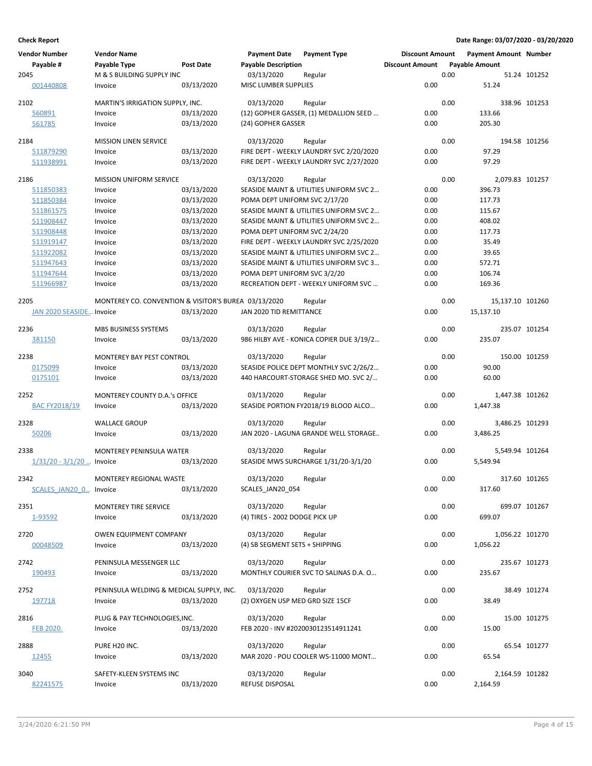| <b>Vendor Number</b>                         | <b>Vendor Name</b>                                   |                  | <b>Payment Date</b>              | <b>Payment Type</b>                      | <b>Discount Amount</b> |      | Payment Amount Number |               |
|----------------------------------------------|------------------------------------------------------|------------------|----------------------------------|------------------------------------------|------------------------|------|-----------------------|---------------|
| Payable #                                    | Payable Type                                         | <b>Post Date</b> | <b>Payable Description</b>       |                                          | <b>Discount Amount</b> |      | <b>Payable Amount</b> |               |
| 2045                                         | M & S BUILDING SUPPLY INC                            |                  | 03/13/2020                       | Regular                                  |                        | 0.00 |                       | 51.24 101252  |
| 001440808                                    | Invoice                                              | 03/13/2020       | <b>MISC LUMBER SUPPLIES</b>      |                                          | 0.00                   |      | 51.24                 |               |
| 2102                                         | MARTIN'S IRRIGATION SUPPLY, INC.                     |                  | 03/13/2020                       | Regular                                  |                        | 0.00 |                       | 338.96 101253 |
| 560891                                       | Invoice                                              | 03/13/2020       |                                  | (12) GOPHER GASSER, (1) MEDALLION SEED   | 0.00                   |      | 133.66                |               |
| 561785                                       | Invoice                                              | 03/13/2020       | (24) GOPHER GASSER               |                                          | 0.00                   |      | 205.30                |               |
| 2184                                         | <b>MISSION LINEN SERVICE</b>                         |                  | 03/13/2020                       | Regular                                  |                        | 0.00 |                       | 194.58 101256 |
| 511879290                                    | Invoice                                              | 03/13/2020       |                                  | FIRE DEPT - WEEKLY LAUNDRY SVC 2/20/2020 | 0.00                   |      | 97.29                 |               |
| 511938991                                    | Invoice                                              | 03/13/2020       |                                  | FIRE DEPT - WEEKLY LAUNDRY SVC 2/27/2020 | 0.00                   |      | 97.29                 |               |
| 2186                                         | <b>MISSION UNIFORM SERVICE</b>                       |                  | 03/13/2020                       | Regular                                  |                        | 0.00 | 2,079.83 101257       |               |
| 511850383                                    | Invoice                                              | 03/13/2020       |                                  | SEASIDE MAINT & UTILITIES UNIFORM SVC 2  | 0.00                   |      | 396.73                |               |
| 511850384                                    | Invoice                                              | 03/13/2020       | POMA DEPT UNIFORM SVC 2/17/20    |                                          | 0.00                   |      | 117.73                |               |
| 511861575                                    | Invoice                                              | 03/13/2020       |                                  | SEASIDE MAINT & UTILITIES UNIFORM SVC 2  | 0.00                   |      | 115.67                |               |
| 511908447                                    | Invoice                                              | 03/13/2020       |                                  | SEASIDE MAINT & UTILITIES UNIFORM SVC 2  | 0.00                   |      | 408.02                |               |
| 511908448                                    | Invoice                                              | 03/13/2020       | POMA DEPT UNIFORM SVC 2/24/20    |                                          | 0.00                   |      | 117.73                |               |
| 511919147                                    | Invoice                                              | 03/13/2020       |                                  | FIRE DEPT - WEEKLY LAUNDRY SVC 2/25/2020 | 0.00                   |      | 35.49                 |               |
| 511922082                                    | Invoice                                              | 03/13/2020       |                                  | SEASIDE MAINT & UTILITIES UNIFORM SVC 2  | 0.00                   |      | 39.65                 |               |
| 511947643                                    | Invoice                                              | 03/13/2020       |                                  | SEASIDE MAINT & UTILITIES UNIFORM SVC 3  | 0.00                   |      | 572.71                |               |
| 511947644                                    | Invoice                                              | 03/13/2020       | POMA DEPT UNIFORM SVC 3/2/20     |                                          | 0.00                   |      | 106.74                |               |
| 511966987                                    | Invoice                                              | 03/13/2020       |                                  | RECREATION DEPT - WEEKLY UNIFORM SVC     | 0.00                   |      | 169.36                |               |
|                                              |                                                      |                  |                                  |                                          |                        |      |                       |               |
| 2205                                         | MONTEREY CO. CONVENTION & VISITOR'S BUREA 03/13/2020 |                  |                                  | Regular                                  |                        | 0.00 | 15,137.10 101260      |               |
| JAN 2020 SEASIDE Invoice                     |                                                      | 03/13/2020       | JAN 2020 TID REMITTANCE          |                                          | 0.00                   |      | 15,137.10             |               |
|                                              |                                                      |                  |                                  |                                          |                        |      |                       |               |
| 2236                                         | MBS BUSINESS SYSTEMS                                 |                  | 03/13/2020                       | Regular                                  |                        | 0.00 |                       | 235.07 101254 |
| 381150                                       | Invoice                                              | 03/13/2020       |                                  | 986 HILBY AVE - KONICA COPIER DUE 3/19/2 | 0.00                   |      | 235.07                |               |
| 2238                                         | MONTEREY BAY PEST CONTROL                            |                  | 03/13/2020                       | Regular                                  |                        | 0.00 |                       | 150.00 101259 |
| 0175099                                      | Invoice                                              | 03/13/2020       |                                  | SEASIDE POLICE DEPT MONTHLY SVC 2/26/2   | 0.00                   |      | 90.00                 |               |
| 0175101                                      | Invoice                                              | 03/13/2020       |                                  | 440 HARCOURT-STORAGE SHED MO. SVC 2/     | 0.00                   |      | 60.00                 |               |
|                                              |                                                      |                  |                                  |                                          |                        |      |                       |               |
| 2252                                         | MONTEREY COUNTY D.A.'s OFFICE                        |                  | 03/13/2020                       | Regular                                  |                        | 0.00 | 1,447.38 101262       |               |
| <b>BAC FY2018/19</b>                         | Invoice                                              | 03/13/2020       |                                  | SEASIDE PORTION FY2018/19 BLOOD ALCO     | 0.00                   |      | 1,447.38              |               |
|                                              |                                                      |                  |                                  |                                          |                        |      |                       |               |
| 2328                                         | <b>WALLACE GROUP</b>                                 |                  | 03/13/2020                       | Regular                                  |                        | 0.00 | 3,486.25 101293       |               |
| 50206                                        | Invoice                                              | 03/13/2020       |                                  | JAN 2020 - LAGUNA GRANDE WELL STORAGE    | 0.00                   |      | 3,486.25              |               |
| 2338                                         | MONTEREY PENINSULA WATER                             |                  | 03/13/2020                       | Regular                                  |                        | 0.00 | 5,549.94 101264       |               |
| $\frac{1}{31/20}$ - $\frac{3}{1/20}$ Invoice |                                                      | 03/13/2020       |                                  | SEASIDE MWS SURCHARGE 1/31/20-3/1/20     | 0.00                   |      | 5,549.94              |               |
|                                              |                                                      |                  |                                  |                                          |                        |      |                       |               |
| 2342                                         | MONTEREY REGIONAL WASTE                              |                  | 03/13/2020                       | Regular                                  |                        | 0.00 |                       | 317.60 101265 |
| SCALES JAN20 0 Invoice                       |                                                      | 03/13/2020       | SCALES_JAN20_054                 |                                          | 0.00                   |      | 317.60                |               |
|                                              |                                                      |                  |                                  |                                          |                        |      |                       |               |
| 2351                                         | MONTEREY TIRE SERVICE                                |                  | 03/13/2020                       | Regular                                  |                        | 0.00 |                       | 699.07 101267 |
| 1-93592                                      | Invoice                                              | 03/13/2020       | (4) TIRES - 2002 DODGE PICK UP   |                                          | 0.00                   |      | 699.07                |               |
|                                              |                                                      |                  |                                  |                                          |                        |      |                       |               |
| 2720                                         | OWEN EQUIPMENT COMPANY                               |                  | 03/13/2020                       | Regular                                  |                        | 0.00 | 1,056.22 101270       |               |
| 00048509                                     | Invoice                                              | 03/13/2020       | (4) SB SEGMENT SETS + SHIPPING   |                                          | 0.00                   |      | 1,056.22              |               |
| 2742                                         | PENINSULA MESSENGER LLC                              |                  | 03/13/2020                       | Regular                                  |                        | 0.00 |                       | 235.67 101273 |
| 190493                                       | Invoice                                              | 03/13/2020       |                                  | MONTHLY COURIER SVC TO SALINAS D.A. O    | 0.00                   |      | 235.67                |               |
|                                              |                                                      |                  |                                  |                                          |                        |      |                       |               |
| 2752                                         | PENINSULA WELDING & MEDICAL SUPPLY, INC.             |                  | 03/13/2020                       | Regular                                  |                        | 0.00 |                       | 38.49 101274  |
| 197718                                       | Invoice                                              | 03/13/2020       | (2) OXYGEN USP MED GRD SIZE 15CF |                                          | 0.00                   |      | 38.49                 |               |
|                                              |                                                      |                  |                                  |                                          |                        |      |                       |               |
| 2816                                         | PLUG & PAY TECHNOLOGIES, INC.                        |                  | 03/13/2020                       | Regular                                  |                        | 0.00 |                       | 15.00 101275  |
| <b>FEB 2020.</b>                             | Invoice                                              | 03/13/2020       |                                  | FEB 2020 - INV #2020030123514911241      | 0.00                   |      | 15.00                 |               |
|                                              |                                                      |                  |                                  |                                          |                        |      |                       |               |
| 2888                                         | PURE H20 INC.                                        |                  | 03/13/2020                       | Regular                                  |                        | 0.00 |                       | 65.54 101277  |
| 12455                                        | Invoice                                              | 03/13/2020       |                                  | MAR 2020 - POU COOLER WS-11000 MONT      | 0.00                   |      | 65.54                 |               |
| 3040                                         | SAFETY-KLEEN SYSTEMS INC                             |                  | 03/13/2020                       | Regular                                  |                        | 0.00 | 2,164.59 101282       |               |
| 82241575                                     | Invoice                                              | 03/13/2020       | <b>REFUSE DISPOSAL</b>           |                                          | 0.00                   |      | 2,164.59              |               |
|                                              |                                                      |                  |                                  |                                          |                        |      |                       |               |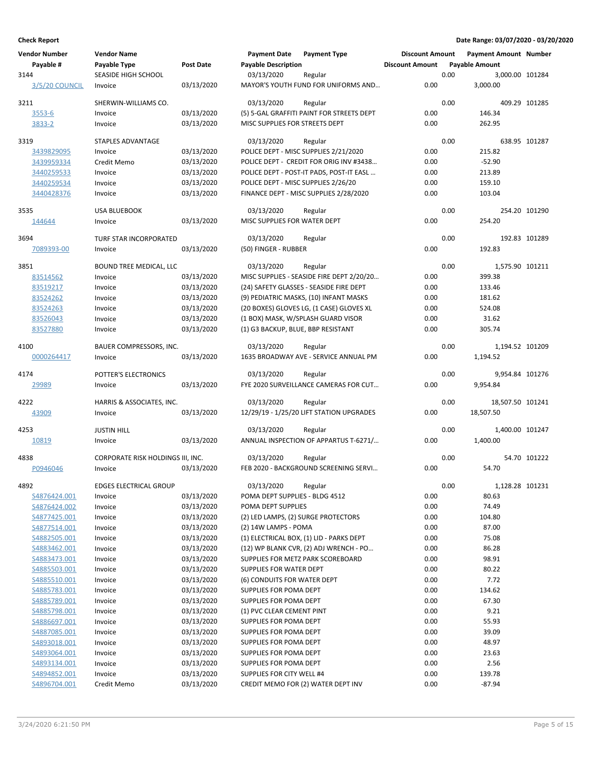| <b>Vendor Number</b> | <b>Vendor Name</b>                |                  | <b>Payment Date</b>                 | <b>Payment Type</b>                       | <b>Discount Amount</b> |      | <b>Payment Amount Number</b> |               |
|----------------------|-----------------------------------|------------------|-------------------------------------|-------------------------------------------|------------------------|------|------------------------------|---------------|
| Payable #            | Payable Type                      | <b>Post Date</b> | <b>Payable Description</b>          |                                           | <b>Discount Amount</b> |      | <b>Payable Amount</b>        |               |
| 3144                 | SEASIDE HIGH SCHOOL               |                  | 03/13/2020                          | Regular                                   |                        | 0.00 | 3,000.00 101284              |               |
| 3/5/20 COUNCIL       | Invoice                           | 03/13/2020       |                                     | MAYOR'S YOUTH FUND FOR UNIFORMS AND       | 0.00                   |      | 3,000.00                     |               |
| 3211                 | SHERWIN-WILLIAMS CO.              |                  | 03/13/2020                          | Regular                                   |                        | 0.00 |                              | 409.29 101285 |
| 3553-6               | Invoice                           | 03/13/2020       |                                     | (5) 5-GAL GRAFFITI PAINT FOR STREETS DEPT | 0.00                   |      | 146.34                       |               |
| 3833-2               | Invoice                           | 03/13/2020       | MISC SUPPLIES FOR STREETS DEPT      |                                           | 0.00                   |      | 262.95                       |               |
|                      |                                   |                  |                                     |                                           |                        |      |                              |               |
| 3319                 | STAPLES ADVANTAGE                 |                  | 03/13/2020                          | Regular                                   |                        | 0.00 |                              | 638.95 101287 |
| 3439829095           | Invoice                           | 03/13/2020       |                                     | POLICE DEPT - MISC SUPPLIES 2/21/2020     | 0.00                   |      | 215.82                       |               |
| 3439959334           | Credit Memo                       | 03/13/2020       |                                     | POLICE DEPT - CREDIT FOR ORIG INV #3438   | 0.00                   |      | $-52.90$                     |               |
| 3440259533           | Invoice                           | 03/13/2020       |                                     | POLICE DEPT - POST-IT PADS, POST-IT EASL  | 0.00                   |      | 213.89                       |               |
| 3440259534           | Invoice                           | 03/13/2020       | POLICE DEPT - MISC SUPPLIES 2/26/20 |                                           | 0.00                   |      | 159.10                       |               |
| 3440428376           | Invoice                           | 03/13/2020       |                                     | FINANCE DEPT - MISC SUPPLIES 2/28/2020    | 0.00                   |      | 103.04                       |               |
| 3535                 | USA BLUEBOOK                      |                  | 03/13/2020                          | Regular                                   |                        | 0.00 |                              | 254.20 101290 |
| 144644               | Invoice                           | 03/13/2020       | MISC SUPPLIES FOR WATER DEPT        |                                           | 0.00                   |      | 254.20                       |               |
|                      |                                   |                  |                                     |                                           |                        |      |                              |               |
| 3694                 | TURF STAR INCORPORATED            |                  | 03/13/2020                          | Regular                                   |                        | 0.00 |                              | 192.83 101289 |
| 7089393-00           | Invoice                           | 03/13/2020       | (50) FINGER - RUBBER                |                                           | 0.00                   |      | 192.83                       |               |
| 3851                 | BOUND TREE MEDICAL, LLC           |                  | 03/13/2020                          | Regular                                   |                        | 0.00 | 1,575.90 101211              |               |
| 83514562             | Invoice                           | 03/13/2020       |                                     | MISC SUPPLIES - SEASIDE FIRE DEPT 2/20/20 | 0.00                   |      | 399.38                       |               |
| 83519217             | Invoice                           | 03/13/2020       |                                     | (24) SAFETY GLASSES - SEASIDE FIRE DEPT   | 0.00                   |      | 133.46                       |               |
| 83524262             | Invoice                           | 03/13/2020       |                                     | (9) PEDIATRIC MASKS, (10) INFANT MASKS    | 0.00                   |      | 181.62                       |               |
| 83524263             | Invoice                           | 03/13/2020       |                                     | (20 BOXES) GLOVES LG, (1 CASE) GLOVES XL  | 0.00                   |      | 524.08                       |               |
| 83526043             | Invoice                           | 03/13/2020       |                                     | (1 BOX) MASK, W/SPLASH GUARD VISOR        | 0.00                   |      | 31.62                        |               |
| 83527880             | Invoice                           | 03/13/2020       | (1) G3 BACKUP, BLUE, BBP RESISTANT  |                                           | 0.00                   |      | 305.74                       |               |
| 4100                 | BAUER COMPRESSORS, INC.           |                  | 03/13/2020                          | Regular                                   |                        | 0.00 | 1,194.52 101209              |               |
| 0000264417           | Invoice                           | 03/13/2020       |                                     | 1635 BROADWAY AVE - SERVICE ANNUAL PM     | 0.00                   |      | 1,194.52                     |               |
|                      |                                   |                  |                                     |                                           |                        |      |                              |               |
| 4174                 | POTTER'S ELECTRONICS              |                  | 03/13/2020                          | Regular                                   |                        | 0.00 | 9,954.84 101276              |               |
| 29989                | Invoice                           | 03/13/2020       |                                     | FYE 2020 SURVEILLANCE CAMERAS FOR CUT     | 0.00                   |      | 9,954.84                     |               |
| 4222                 | HARRIS & ASSOCIATES, INC.         |                  | 03/13/2020                          | Regular                                   |                        | 0.00 | 18,507.50 101241             |               |
| 43909                | Invoice                           | 03/13/2020       |                                     | 12/29/19 - 1/25/20 LIFT STATION UPGRADES  | 0.00                   |      | 18,507.50                    |               |
|                      |                                   |                  |                                     |                                           |                        |      |                              |               |
| 4253                 | <b>JUSTIN HILL</b>                | 03/13/2020       | 03/13/2020                          | Regular                                   | 0.00                   | 0.00 | 1,400.00 101247              |               |
| 10819                | Invoice                           |                  |                                     | ANNUAL INSPECTION OF APPARTUS T-6271/     |                        |      | 1,400.00                     |               |
| 4838                 | CORPORATE RISK HOLDINGS III, INC. |                  | 03/13/2020                          | Regular                                   |                        | 0.00 |                              | 54.70 101222  |
| P0946046             | Invoice                           | 03/13/2020       |                                     | FEB 2020 - BACKGROUND SCREENING SERVI     | 0.00                   |      | 54.70                        |               |
| 4892                 | <b>EDGES ELECTRICAL GROUP</b>     |                  | 03/13/2020                          | Regular                                   |                        | 0.00 | 1,128.28 101231              |               |
| S4876424.001         | Invoice                           | 03/13/2020       | POMA DEPT SUPPLIES - BLDG 4512      |                                           | 0.00                   |      | 80.63                        |               |
| S4876424.002         | Invoice                           | 03/13/2020       | POMA DEPT SUPPLIES                  |                                           | 0.00                   |      | 74.49                        |               |
| S4877425.001         | Invoice                           | 03/13/2020       |                                     | (2) LED LAMPS, (2) SURGE PROTECTORS       | 0.00                   |      | 104.80                       |               |
| S4877514.001         | Invoice                           | 03/13/2020       | (2) 14W LAMPS - POMA                |                                           | 0.00                   |      | 87.00                        |               |
| S4882505.001         | Invoice                           | 03/13/2020       |                                     | (1) ELECTRICAL BOX, (1) LID - PARKS DEPT  | 0.00                   |      | 75.08                        |               |
| S4883462.001         | Invoice                           | 03/13/2020       |                                     | (12) WP BLANK CVR, (2) ADJ WRENCH - PO    | 0.00                   |      | 86.28                        |               |
| S4883473.001         | Invoice                           | 03/13/2020       |                                     | SUPPLIES FOR METZ PARK SCOREBOARD         | 0.00                   |      | 98.91                        |               |
| S4885503.001         | Invoice                           | 03/13/2020       | SUPPLIES FOR WATER DEPT             |                                           | 0.00                   |      | 80.22                        |               |
| S4885510.001         | Invoice                           | 03/13/2020       | (6) CONDUITS FOR WATER DEPT         |                                           | 0.00                   |      | 7.72                         |               |
| S4885783.001         | Invoice                           | 03/13/2020       | SUPPLIES FOR POMA DEPT              |                                           | 0.00                   |      | 134.62                       |               |
| S4885789.001         | Invoice                           | 03/13/2020       | SUPPLIES FOR POMA DEPT              |                                           | 0.00                   |      | 67.30                        |               |
| S4885798.001         | Invoice                           | 03/13/2020       | (1) PVC CLEAR CEMENT PINT           |                                           | 0.00                   |      | 9.21                         |               |
| S4886697.001         | Invoice                           | 03/13/2020       | SUPPLIES FOR POMA DEPT              |                                           | 0.00                   |      | 55.93                        |               |
| S4887085.001         | Invoice                           | 03/13/2020       | SUPPLIES FOR POMA DEPT              |                                           | 0.00                   |      | 39.09                        |               |
| S4893018.001         | Invoice                           | 03/13/2020       | SUPPLIES FOR POMA DEPT              |                                           | 0.00                   |      | 48.97                        |               |
| S4893064.001         | Invoice                           | 03/13/2020       | SUPPLIES FOR POMA DEPT              |                                           | 0.00                   |      | 23.63                        |               |
| S4893134.001         | Invoice                           | 03/13/2020       | SUPPLIES FOR POMA DEPT              |                                           | 0.00                   |      | 2.56                         |               |
| S4894852.001         | Invoice                           | 03/13/2020       | SUPPLIES FOR CITY WELL #4           |                                           | 0.00                   |      | 139.78                       |               |
| S4896704.001         | Credit Memo                       | 03/13/2020       |                                     | CREDIT MEMO FOR (2) WATER DEPT INV        | 0.00                   |      | $-87.94$                     |               |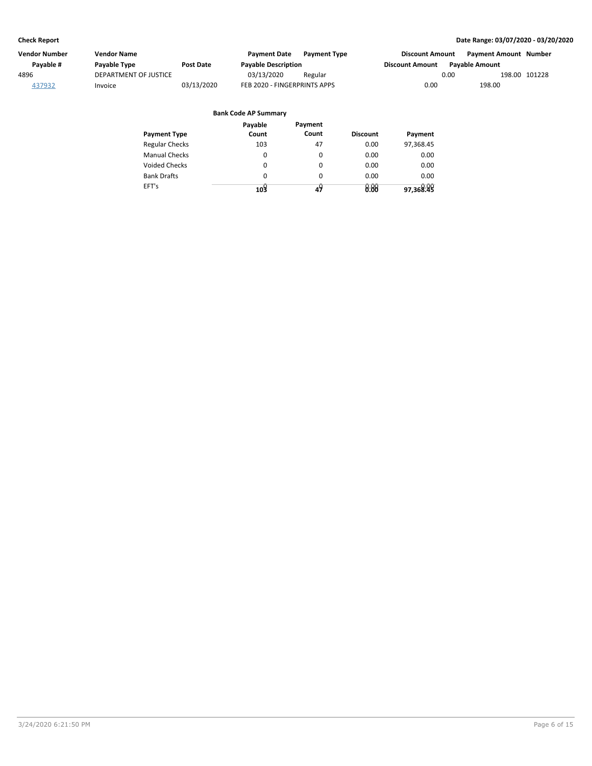| Vendor Number | Vendor Name           |            | <b>Payment Date</b>          | <b>Payment Type</b> | <b>Discount Amount</b> | Payment Amount Number |  |
|---------------|-----------------------|------------|------------------------------|---------------------|------------------------|-----------------------|--|
| Pavable #     | Payable Type          | Post Date  | <b>Payable Description</b>   |                     | <b>Discount Amount</b> | <b>Pavable Amount</b> |  |
| 4896          | DEPARTMENT OF JUSTICE |            | 03/13/2020                   | Regular             | 0.00                   | 198.00 101228         |  |
| 437932        | Invoice               | 03/13/2020 | FEB 2020 - FINGERPRINTS APPS |                     | 0.00                   | 198.00                |  |

|                       | Payable | Payment  |                 |           |
|-----------------------|---------|----------|-----------------|-----------|
| <b>Payment Type</b>   | Count   | Count    | <b>Discount</b> | Payment   |
| <b>Regular Checks</b> | 103     | 47       | 0.00            | 97,368.45 |
| <b>Manual Checks</b>  | 0       | $\Omega$ | 0.00            | 0.00      |
| <b>Voided Checks</b>  | 0       | 0        | 0.00            | 0.00      |
| <b>Bank Drafts</b>    | 0       | 0        | 0.00            | 0.00      |
| EFT's                 | 109     | 49       | 0.00            | 97,368:48 |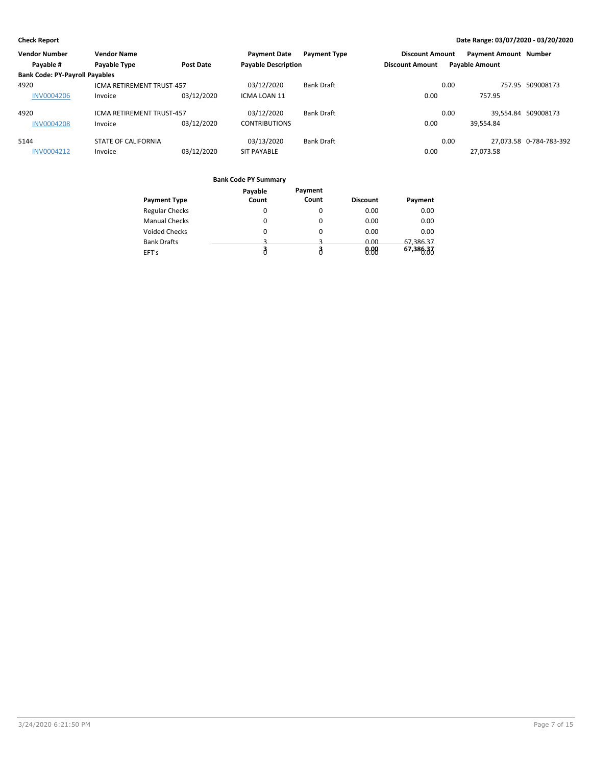| <b>Vendor Number</b>                  | <b>Vendor Name</b>               |                  | <b>Payment Date</b>        | <b>Payment Type</b> | <b>Discount Amount</b> |      | <b>Payment Amount Number</b> |                         |
|---------------------------------------|----------------------------------|------------------|----------------------------|---------------------|------------------------|------|------------------------------|-------------------------|
| Payable #                             | Payable Type                     | <b>Post Date</b> | <b>Payable Description</b> |                     | <b>Discount Amount</b> |      | <b>Payable Amount</b>        |                         |
| <b>Bank Code: PY-Payroll Payables</b> |                                  |                  |                            |                     |                        |      |                              |                         |
| 4920                                  | <b>ICMA RETIREMENT TRUST-457</b> |                  | 03/12/2020                 | <b>Bank Draft</b>   |                        | 0.00 |                              | 757.95 509008173        |
| <b>INV0004206</b>                     | Invoice                          | 03/12/2020       | ICMA LOAN 11               |                     | 0.00                   |      | 757.95                       |                         |
| 4920                                  | ICMA RETIREMENT TRUST-457        |                  | 03/12/2020                 | <b>Bank Draft</b>   |                        | 0.00 |                              | 39.554.84 509008173     |
| <b>INV0004208</b>                     | Invoice                          | 03/12/2020       | <b>CONTRIBUTIONS</b>       |                     | 0.00                   |      | 39,554.84                    |                         |
| 5144                                  | <b>STATE OF CALIFORNIA</b>       |                  | 03/13/2020                 | <b>Bank Draft</b>   |                        | 0.00 |                              | 27.073.58 0-784-783-392 |
| <b>INV0004212</b>                     | Invoice                          | 03/12/2020       | <b>SIT PAYABLE</b>         |                     | 0.00                   |      | 27.073.58                    |                         |

|                       | Payable | Payment  |                 |           |
|-----------------------|---------|----------|-----------------|-----------|
| <b>Payment Type</b>   | Count   | Count    | <b>Discount</b> | Payment   |
| <b>Regular Checks</b> | 0       | 0        | 0.00            | 0.00      |
| <b>Manual Checks</b>  | 0       | $\Omega$ | 0.00            | 0.00      |
| <b>Voided Checks</b>  | 0       | $\Omega$ | 0.00            | 0.00      |
| <b>Bank Drafts</b>    | 3       |          | 0.00            | 67,386.37 |
| EFT's                 |         |          | 0.88            | 67,386.37 |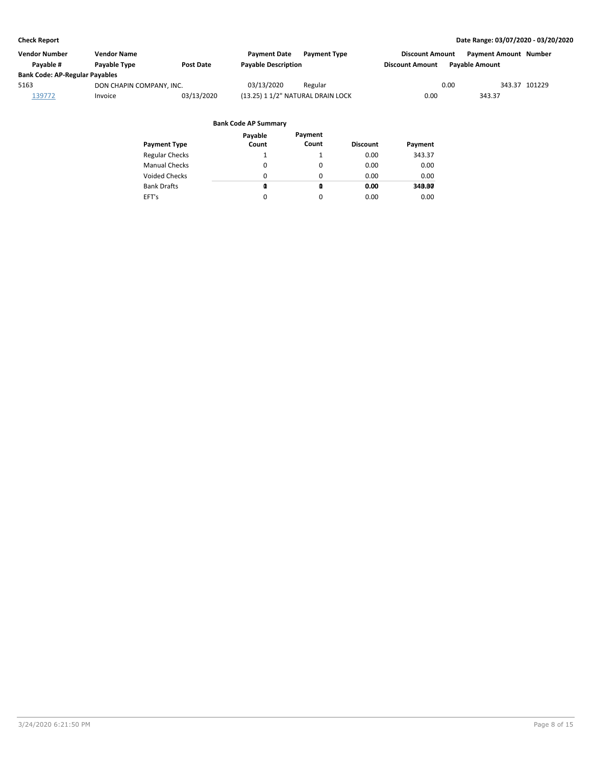| Vendor Number                         | <b>Vendor Name</b>       |            | <b>Payment Date</b>               | <b>Payment Type</b> | <b>Discount Amount</b> |                       | Payment Amount Number |
|---------------------------------------|--------------------------|------------|-----------------------------------|---------------------|------------------------|-----------------------|-----------------------|
| Pavable #                             | Payable Type             | Post Date  | <b>Payable Description</b>        |                     | <b>Discount Amount</b> | <b>Pavable Amount</b> |                       |
| <b>Bank Code: AP-Regular Payables</b> |                          |            |                                   |                     |                        |                       |                       |
| 5163                                  | DON CHAPIN COMPANY, INC. |            | 03/13/2020                        | Regular             |                        | 0.00                  | 343.37 101229         |
| 139772                                | Invoice                  | 03/13/2020 | (13.25) 1 1/2" NATURAL DRAIN LOCK |                     | 0.00                   | 343.37                |                       |

|                       | Payable | Payment  |                 |         |
|-----------------------|---------|----------|-----------------|---------|
| <b>Payment Type</b>   | Count   | Count    | <b>Discount</b> | Payment |
| <b>Regular Checks</b> |         |          | 0.00            | 343.37  |
| <b>Manual Checks</b>  | 0       | 0        | 0.00            | 0.00    |
| Voided Checks         | 0       | 0        | 0.00            | 0.00    |
| <b>Bank Drafts</b>    | ⋒       | Q        | 0.00            | 348.80  |
| EFT's                 | 0       | $\Omega$ | 0.00            | 0.00    |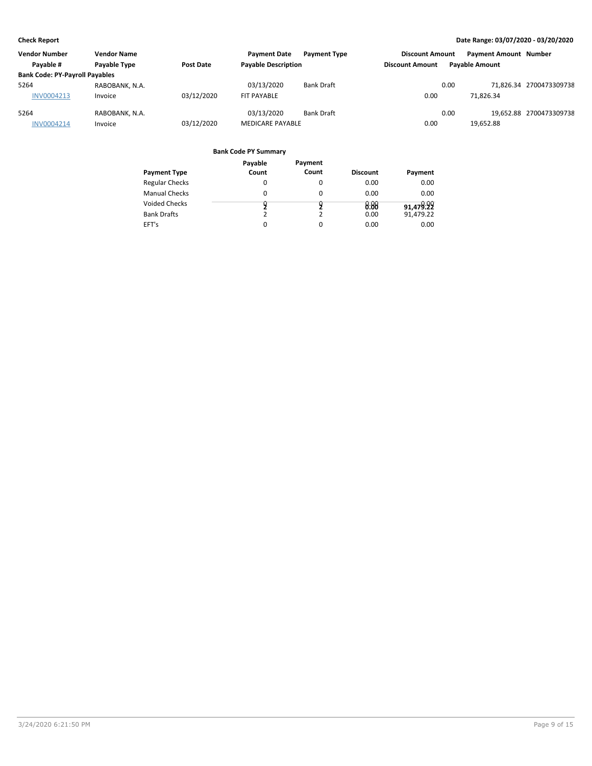| <b>Vendor Number</b>                  | <b>Vendor Name</b> |            | <b>Payment Date</b>        | <b>Payment Type</b> | <b>Discount Amount</b> |      | Payment Amount Number |                         |
|---------------------------------------|--------------------|------------|----------------------------|---------------------|------------------------|------|-----------------------|-------------------------|
| Payable #                             | Payable Type       | Post Date  | <b>Payable Description</b> |                     | <b>Discount Amount</b> |      | <b>Pavable Amount</b> |                         |
| <b>Bank Code: PY-Payroll Payables</b> |                    |            |                            |                     |                        |      |                       |                         |
| 5264                                  | RABOBANK, N.A.     |            | 03/13/2020                 | <b>Bank Draft</b>   |                        | 0.00 |                       | 71.826.34 2700473309738 |
| INV0004213                            | Invoice            | 03/12/2020 | FIT PAYABLE                |                     | 0.00                   |      | 71.826.34             |                         |
| 5264                                  | RABOBANK, N.A.     |            | 03/13/2020                 | <b>Bank Draft</b>   |                        | 0.00 |                       | 19.652.88 2700473309738 |
| <b>INV0004214</b>                     | Invoice            | 03/12/2020 | <b>MEDICARE PAYABLE</b>    |                     | 0.00                   |      | 19,652.88             |                         |

|                       | Payable  | Payment  |                 |           |
|-----------------------|----------|----------|-----------------|-----------|
| <b>Payment Type</b>   | Count    | Count    | <b>Discount</b> | Payment   |
| <b>Regular Checks</b> |          | 0        | 0.00            | 0.00      |
| <b>Manual Checks</b>  | 0        | 0        | 0.00            | 0.00      |
| <b>Voided Checks</b>  |          |          | 0.00            | 91,479.22 |
| <b>Bank Drafts</b>    | 2        | 2        | 0.00            | 91,479.22 |
| EFT's                 | $\Omega$ | $\Omega$ | 0.00            | 0.00      |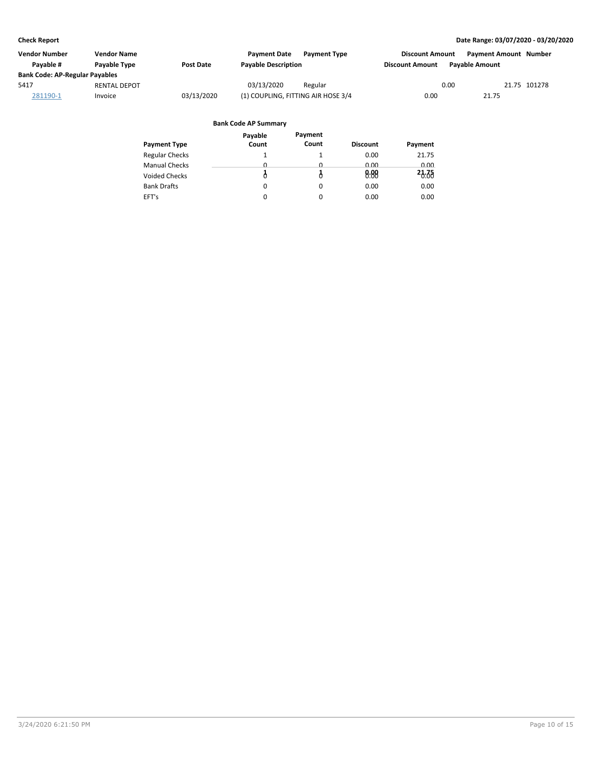| <b>Vendor Number</b>                  | Vendor Name         |            | <b>Payment Date</b>                | <b>Payment Type</b> | <b>Discount Amount</b> | <b>Payment Amount</b> | Number       |
|---------------------------------------|---------------------|------------|------------------------------------|---------------------|------------------------|-----------------------|--------------|
| Pavable #                             | <b>Pavable Type</b> | Post Date  | <b>Payable Description</b>         |                     | <b>Discount Amount</b> | <b>Pavable Amount</b> |              |
| <b>Bank Code: AP-Regular Payables</b> |                     |            |                                    |                     |                        |                       |              |
| 5417                                  | <b>RENTAL DEPOT</b> |            | 03/13/2020                         | Regular             |                        | 0.00                  | 21.75 101278 |
| 281190-1                              | Invoice             | 03/13/2020 | (1) COUPLING, FITTING AIR HOSE 3/4 |                     | 0.00                   | 21.75                 |              |

| Payable  | Payment  |                 |         |
|----------|----------|-----------------|---------|
| Count    | Count    | <b>Discount</b> | Payment |
|          |          | 0.00            | 21.75   |
| <u>n</u> | <u>n</u> | 0.00            | 0.00    |
|          |          | 0.88            | 23.35   |
| 0        | 0        | 0.00            | 0.00    |
| $\Omega$ | $\Omega$ | 0.00            | 0.00    |
|          |          |                 |         |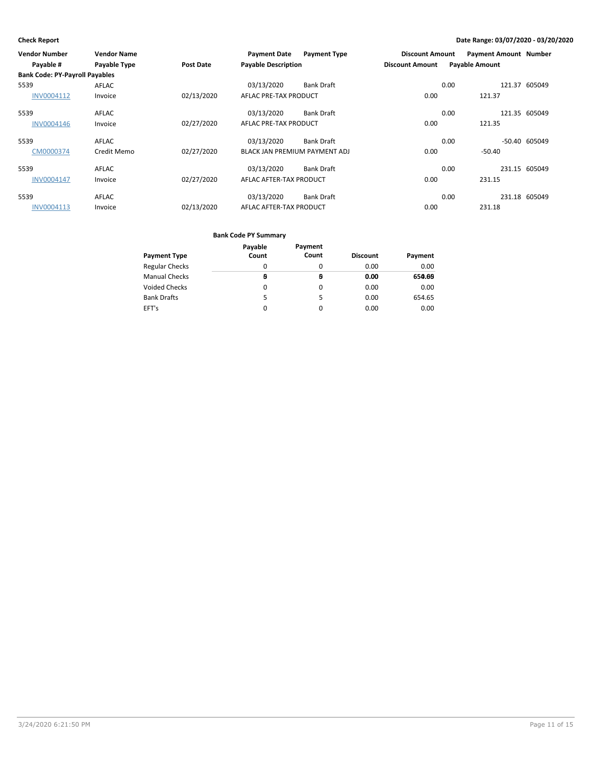| <b>Vendor Number</b>                  | <b>Vendor Name</b> |            | <b>Payment Date</b>           | <b>Payment Type</b> | <b>Discount Amount</b> | <b>Payment Amount Number</b> |               |
|---------------------------------------|--------------------|------------|-------------------------------|---------------------|------------------------|------------------------------|---------------|
| Payable #                             | Payable Type       | Post Date  | <b>Payable Description</b>    |                     | <b>Discount Amount</b> | <b>Payable Amount</b>        |               |
| <b>Bank Code: PY-Payroll Payables</b> |                    |            |                               |                     |                        |                              |               |
| 5539                                  | AFLAC              |            | 03/13/2020                    | <b>Bank Draft</b>   |                        | 0.00                         | 121.37 605049 |
| <b>INV0004112</b>                     | Invoice            | 02/13/2020 | AFLAC PRE-TAX PRODUCT         |                     | 0.00                   | 121.37                       |               |
| 5539                                  | AFLAC              |            | 03/13/2020                    | <b>Bank Draft</b>   |                        | 0.00                         | 121.35 605049 |
| <b>INV0004146</b>                     | Invoice            | 02/27/2020 | AFLAC PRE-TAX PRODUCT         |                     | 0.00                   | 121.35                       |               |
| 5539                                  | AFLAC              |            | 03/13/2020                    | <b>Bank Draft</b>   |                        | 0.00                         | -50.40 605049 |
| CM0000374                             | Credit Memo        | 02/27/2020 | BLACK JAN PREMIUM PAYMENT ADJ |                     | 0.00                   | $-50.40$                     |               |
| 5539                                  | AFLAC              |            | 03/13/2020                    | <b>Bank Draft</b>   |                        | 0.00                         | 231.15 605049 |
| <b>INV0004147</b>                     | Invoice            | 02/27/2020 | AFLAC AFTER-TAX PRODUCT       |                     | 0.00                   | 231.15                       |               |
| 5539                                  | AFLAC              |            | 03/13/2020                    | <b>Bank Draft</b>   |                        | 0.00                         | 231.18 605049 |
| <b>INV0004113</b>                     | Invoice            | 02/13/2020 | AFLAC AFTER-TAX PRODUCT       |                     | 0.00                   | 231.18                       |               |

|                      | Payable  | Payment |                 |         |
|----------------------|----------|---------|-----------------|---------|
| Payment Type         | Count    | Count   | <b>Discount</b> | Payment |
| Regular Checks       | 0        | 0       | 0.00            | 0.00    |
| Manual Checks        | в        | θ       | 0.00            | 650.66  |
| <b>Voided Checks</b> | 0        | 0       | 0.00            | 0.00    |
| <b>Bank Drafts</b>   | 5        | 5       | 0.00            | 654.65  |
| EFT's                | $\Omega$ | 0       | 0.00            | 0.00    |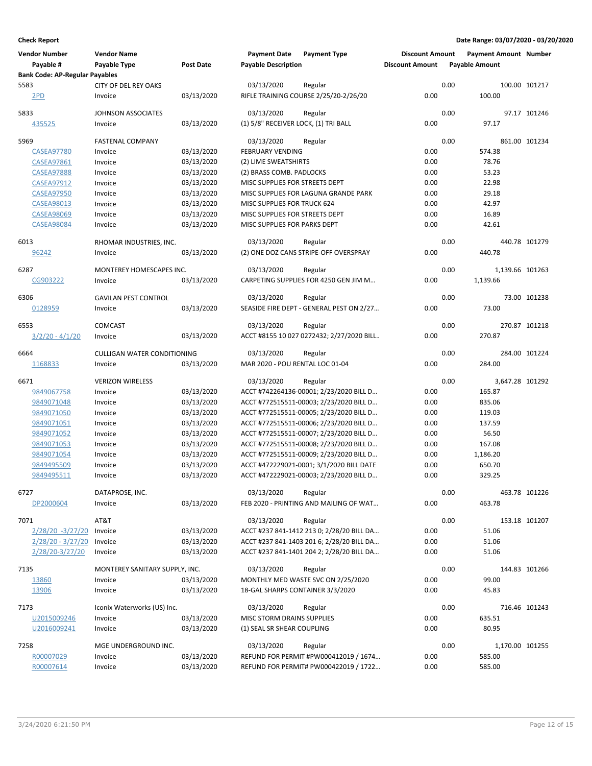| <b>Vendor Number</b>                   | <b>Vendor Name</b>                 |                          | <b>Payment Date</b>                                        | <b>Payment Type</b>                               | <b>Discount Amount</b> |      | <b>Payment Amount Number</b> |               |
|----------------------------------------|------------------------------------|--------------------------|------------------------------------------------------------|---------------------------------------------------|------------------------|------|------------------------------|---------------|
| Payable #                              | Payable Type                       | <b>Post Date</b>         | <b>Payable Description</b>                                 |                                                   | <b>Discount Amount</b> |      | <b>Payable Amount</b>        |               |
| <b>Bank Code: AP-Regular Payables</b>  |                                    |                          |                                                            |                                                   |                        |      |                              |               |
| 5583                                   | <b>CITY OF DEL REY OAKS</b>        |                          | 03/13/2020                                                 | Regular                                           |                        | 0.00 |                              | 100.00 101217 |
| 2PD                                    | Invoice                            | 03/13/2020               |                                                            | RIFLE TRAINING COURSE 2/25/20-2/26/20             | 0.00                   |      | 100.00                       |               |
| 5833                                   | JOHNSON ASSOCIATES                 |                          | 03/13/2020                                                 | Regular                                           |                        | 0.00 |                              | 97.17 101246  |
| 435525                                 | Invoice                            | 03/13/2020               | (1) 5/8" RECEIVER LOCK, (1) TRI BALL                       |                                                   | 0.00                   |      | 97.17                        |               |
|                                        |                                    |                          |                                                            |                                                   |                        |      |                              |               |
| 5969                                   | <b>FASTENAL COMPANY</b>            |                          | 03/13/2020                                                 | Regular                                           |                        | 0.00 |                              | 861.00 101234 |
| <b>CASEA97780</b>                      | Invoice                            | 03/13/2020               | <b>FEBRUARY VENDING</b>                                    |                                                   | 0.00                   |      | 574.38                       |               |
| <b>CASEA97861</b>                      | Invoice                            | 03/13/2020               | (2) LIME SWEATSHIRTS                                       |                                                   | 0.00<br>0.00           |      | 78.76                        |               |
| <b>CASEA97888</b><br><b>CASEA97912</b> | Invoice<br>Invoice                 | 03/13/2020<br>03/13/2020 | (2) BRASS COMB. PADLOCKS<br>MISC SUPPLIES FOR STREETS DEPT |                                                   | 0.00                   |      | 53.23<br>22.98               |               |
| <b>CASEA97950</b>                      | Invoice                            | 03/13/2020               |                                                            | MISC SUPPLIES FOR LAGUNA GRANDE PARK              | 0.00                   |      | 29.18                        |               |
| <b>CASEA98013</b>                      | Invoice                            | 03/13/2020               | MISC SUPPLIES FOR TRUCK 624                                |                                                   | 0.00                   |      | 42.97                        |               |
| <b>CASEA98069</b>                      | Invoice                            | 03/13/2020               | MISC SUPPLIES FOR STREETS DEPT                             |                                                   | 0.00                   |      | 16.89                        |               |
| <b>CASEA98084</b>                      | Invoice                            | 03/13/2020               | MISC SUPPLIES FOR PARKS DEPT                               |                                                   | 0.00                   |      | 42.61                        |               |
|                                        |                                    |                          |                                                            |                                                   |                        |      |                              |               |
| 6013                                   | RHOMAR INDUSTRIES, INC.            |                          | 03/13/2020                                                 | Regular                                           |                        | 0.00 |                              | 440.78 101279 |
| 96242                                  | Invoice                            | 03/13/2020               |                                                            | (2) ONE DOZ CANS STRIPE-OFF OVERSPRAY             | 0.00                   |      | 440.78                       |               |
| 6287                                   | MONTEREY HOMESCAPES INC.           |                          | 03/13/2020                                                 | Regular                                           |                        | 0.00 | 1,139.66 101263              |               |
| CG903222                               | Invoice                            | 03/13/2020               |                                                            | CARPETING SUPPLIES FOR 4250 GEN JIM M             | 0.00                   |      | 1,139.66                     |               |
|                                        |                                    |                          |                                                            |                                                   |                        |      |                              |               |
| 6306                                   | <b>GAVILAN PEST CONTROL</b>        |                          | 03/13/2020                                                 | Regular                                           |                        | 0.00 |                              | 73.00 101238  |
| 0128959                                | Invoice                            | 03/13/2020               |                                                            | SEASIDE FIRE DEPT - GENERAL PEST ON 2/27          | 0.00                   |      | 73.00                        |               |
| 6553                                   | <b>COMCAST</b>                     |                          | 03/13/2020                                                 | Regular                                           |                        | 0.00 |                              | 270.87 101218 |
| $3/2/20 - 4/1/20$                      | Invoice                            | 03/13/2020               |                                                            | ACCT #8155 10 027 0272432; 2/27/2020 BILL         | 0.00                   |      | 270.87                       |               |
|                                        |                                    |                          |                                                            |                                                   |                        |      |                              |               |
| 6664                                   | <b>CULLIGAN WATER CONDITIONING</b> |                          | 03/13/2020                                                 | Regular                                           |                        | 0.00 |                              | 284.00 101224 |
| 1168833                                | Invoice                            | 03/13/2020               | MAR 2020 - POU RENTAL LOC 01-04                            |                                                   | 0.00                   |      | 284.00                       |               |
| 6671                                   | <b>VERIZON WIRELESS</b>            |                          | 03/13/2020                                                 | Regular                                           |                        | 0.00 | 3,647.28 101292              |               |
| 9849067758                             | Invoice                            | 03/13/2020               |                                                            | ACCT #742264136-00001; 2/23/2020 BILL D           | 0.00                   |      | 165.87                       |               |
| 9849071048                             | Invoice                            | 03/13/2020               |                                                            | ACCT #772515511-00003; 2/23/2020 BILL D           | 0.00                   |      | 835.06                       |               |
| 9849071050                             | Invoice                            | 03/13/2020               |                                                            | ACCT #772515511-00005; 2/23/2020 BILL D           | 0.00                   |      | 119.03                       |               |
| 9849071051                             | Invoice                            | 03/13/2020               |                                                            | ACCT #772515511-00006; 2/23/2020 BILL D           | 0.00                   |      | 137.59                       |               |
| 9849071052                             | Invoice                            | 03/13/2020               |                                                            | ACCT #772515511-00007; 2/23/2020 BILL D           | 0.00                   |      | 56.50                        |               |
| 9849071053                             | Invoice                            | 03/13/2020               |                                                            | ACCT #772515511-00008; 2/23/2020 BILL D           | 0.00                   |      | 167.08                       |               |
| 9849071054                             | Invoice                            | 03/13/2020               |                                                            | ACCT #772515511-00009; 2/23/2020 BILL D           | 0.00                   |      | 1,186.20                     |               |
| 9849495509                             | Invoice                            | 03/13/2020               |                                                            | ACCT #472229021-0001; 3/1/2020 BILL DATE          | 0.00                   |      | 650.70                       |               |
| 9849495511                             | Invoice                            | 03/13/2020               |                                                            | ACCT #472229021-00003; 2/23/2020 BILL D           | 0.00                   |      | 329.25                       |               |
| 6727                                   |                                    |                          | 03/13/2020                                                 |                                                   |                        | 0.00 |                              | 463.78 101226 |
| DP2000604                              | DATAPROSE, INC.<br>Invoice         | 03/13/2020               |                                                            | Regular<br>FEB 2020 - PRINTING AND MAILING OF WAT | 0.00                   |      | 463.78                       |               |
|                                        |                                    |                          |                                                            |                                                   |                        |      |                              |               |
| 7071                                   | AT&T                               |                          | 03/13/2020                                                 | Regular                                           |                        | 0.00 |                              | 153.18 101207 |
| $2/28/20 -3/27/20$                     | Invoice                            | 03/13/2020               |                                                            | ACCT #237 841-1412 213 0; 2/28/20 BILL DA         | 0.00                   |      | 51.06                        |               |
| <u>2/28/20 - 3/27/20</u>               | Invoice                            | 03/13/2020               |                                                            | ACCT #237 841-1403 201 6; 2/28/20 BILL DA         | 0.00                   |      | 51.06                        |               |
| 2/28/20-3/27/20                        | Invoice                            | 03/13/2020               |                                                            | ACCT #237 841-1401 204 2; 2/28/20 BILL DA         | 0.00                   |      | 51.06                        |               |
| 7135                                   | MONTEREY SANITARY SUPPLY, INC.     |                          | 03/13/2020                                                 | Regular                                           |                        | 0.00 |                              | 144.83 101266 |
| 13860                                  | Invoice                            | 03/13/2020               |                                                            | MONTHLY MED WASTE SVC ON 2/25/2020                | 0.00                   |      | 99.00                        |               |
| 13906                                  | Invoice                            | 03/13/2020               | 18-GAL SHARPS CONTAINER 3/3/2020                           |                                                   | 0.00                   |      | 45.83                        |               |
|                                        |                                    |                          |                                                            |                                                   |                        |      |                              |               |
| 7173                                   | Iconix Waterworks (US) Inc.        |                          | 03/13/2020                                                 | Regular                                           |                        | 0.00 |                              | 716.46 101243 |
| U2015009246                            | Invoice                            | 03/13/2020               | MISC STORM DRAINS SUPPLIES                                 |                                                   | 0.00                   |      | 635.51                       |               |
| U2016009241                            | Invoice                            | 03/13/2020               | (1) SEAL SR SHEAR COUPLING                                 |                                                   | 0.00                   |      | 80.95                        |               |
| 7258                                   | MGE UNDERGROUND INC.               |                          | 03/13/2020                                                 | Regular                                           |                        | 0.00 | 1,170.00 101255              |               |
| R00007029                              | Invoice                            | 03/13/2020               |                                                            | REFUND FOR PERMIT #PW000412019 / 1674             | 0.00                   |      | 585.00                       |               |
| R00007614                              | Invoice                            | 03/13/2020               |                                                            | REFUND FOR PERMIT# PW000422019 / 1722             | 0.00                   |      | 585.00                       |               |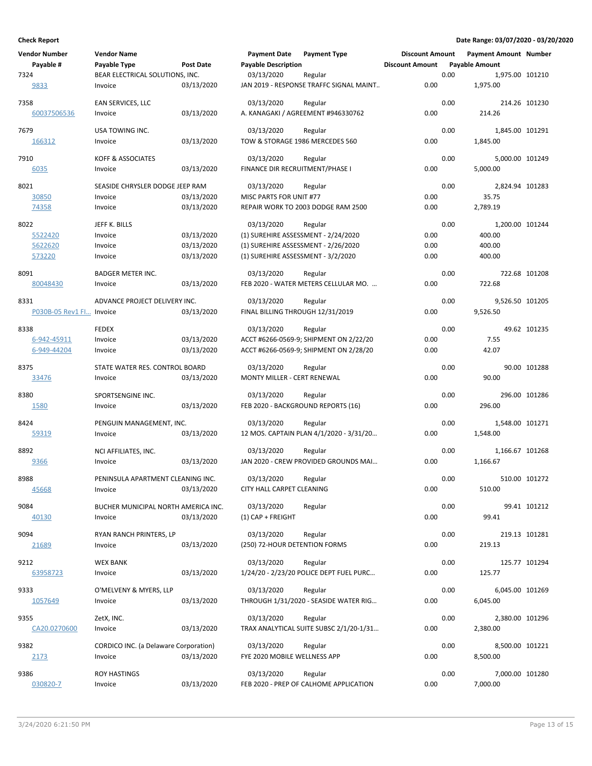| <b>Vendor Number</b>     | <b>Vendor Name</b>                    |                  | <b>Payment Date</b>                       | <b>Payment Type</b>                     | <b>Discount Amount</b> |      | <b>Payment Amount Number</b> |               |
|--------------------------|---------------------------------------|------------------|-------------------------------------------|-----------------------------------------|------------------------|------|------------------------------|---------------|
| Payable #                | Payable Type                          | <b>Post Date</b> | <b>Payable Description</b>                |                                         | <b>Discount Amount</b> |      | <b>Payable Amount</b>        |               |
| 7324                     | BEAR ELECTRICAL SOLUTIONS, INC.       |                  | 03/13/2020                                | Regular                                 |                        | 0.00 | 1,975.00 101210              |               |
| <u>9833</u>              | Invoice                               | 03/13/2020       |                                           | JAN 2019 - RESPONSE TRAFFC SIGNAL MAINT | 0.00                   |      | 1,975.00                     |               |
| 7358                     | EAN SERVICES, LLC                     |                  | 03/13/2020                                | Regular                                 |                        | 0.00 |                              | 214.26 101230 |
| 60037506536              | Invoice                               | 03/13/2020       |                                           | A. KANAGAKI / AGREEMENT #946330762      | 0.00                   |      | 214.26                       |               |
|                          |                                       |                  |                                           |                                         |                        |      |                              |               |
| 7679                     | USA TOWING INC.                       |                  | 03/13/2020                                | Regular                                 |                        | 0.00 | 1,845.00 101291              |               |
| 166312                   | Invoice                               | 03/13/2020       | TOW & STORAGE 1986 MERCEDES 560           |                                         | 0.00                   |      | 1,845.00                     |               |
| 7910                     | <b>KOFF &amp; ASSOCIATES</b>          |                  | 03/13/2020                                | Regular                                 |                        | 0.00 | 5,000.00 101249              |               |
| 6035                     | Invoice                               | 03/13/2020       | FINANCE DIR RECRUITMENT/PHASE I           |                                         | 0.00                   |      | 5,000.00                     |               |
|                          |                                       |                  |                                           |                                         |                        |      |                              |               |
| 8021                     | SEASIDE CHRYSLER DODGE JEEP RAM       |                  | 03/13/2020                                | Regular                                 |                        | 0.00 | 2,824.94 101283              |               |
| 30850                    | Invoice                               | 03/13/2020       | MISC PARTS FOR UNIT #77                   |                                         | 0.00                   |      | 35.75                        |               |
| 74358                    | Invoice                               | 03/13/2020       |                                           | REPAIR WORK TO 2003 DODGE RAM 2500      | 0.00                   |      | 2,789.19                     |               |
| 8022                     | JEFF K. BILLS                         |                  | 03/13/2020                                | Regular                                 |                        | 0.00 | 1,200.00 101244              |               |
| 5522420                  | Invoice                               | 03/13/2020       | (1) SUREHIRE ASSESSMENT - 2/24/2020       |                                         | 0.00                   |      | 400.00                       |               |
| 5622620                  | Invoice                               | 03/13/2020       | (1) SUREHIRE ASSESSMENT - 2/26/2020       |                                         | 0.00                   |      | 400.00                       |               |
| 573220                   | Invoice                               | 03/13/2020       | (1) SUREHIRE ASSESSMENT - 3/2/2020        |                                         | 0.00                   |      | 400.00                       |               |
| 8091                     | <b>BADGER METER INC.</b>              |                  | 03/13/2020                                | Regular                                 |                        | 0.00 |                              | 722.68 101208 |
| 80048430                 | Invoice                               | 03/13/2020       |                                           | FEB 2020 - WATER METERS CELLULAR MO.    | 0.00                   |      | 722.68                       |               |
|                          |                                       |                  |                                           |                                         |                        |      |                              |               |
| 8331                     | ADVANCE PROJECT DELIVERY INC.         |                  | 03/13/2020                                | Regular                                 |                        | 0.00 | 9,526.50 101205              |               |
| P030B-05 Rev1 Fl Invoice |                                       | 03/13/2020       | FINAL BILLING THROUGH 12/31/2019          |                                         | 0.00                   |      | 9,526.50                     |               |
| 8338                     | <b>FEDEX</b>                          |                  | 03/13/2020                                | Regular                                 |                        | 0.00 |                              | 49.62 101235  |
| 6-942-45911              | Invoice                               | 03/13/2020       |                                           | ACCT #6266-0569-9; SHIPMENT ON 2/22/20  | 0.00                   |      | 7.55                         |               |
| 6-949-44204              | Invoice                               | 03/13/2020       |                                           | ACCT #6266-0569-9; SHIPMENT ON 2/28/20  | 0.00                   |      | 42.07                        |               |
|                          |                                       |                  |                                           |                                         |                        |      |                              |               |
| 8375                     | STATE WATER RES. CONTROL BOARD        |                  | 03/13/2020<br>MONTY MILLER - CERT RENEWAL | Regular                                 | 0.00                   | 0.00 | 90.00                        | 90.00 101288  |
| 33476                    | Invoice                               | 03/13/2020       |                                           |                                         |                        |      |                              |               |
| 8380                     | SPORTSENGINE INC.                     |                  | 03/13/2020                                | Regular                                 |                        | 0.00 |                              | 296.00 101286 |
| 1580                     | Invoice                               | 03/13/2020       | FEB 2020 - BACKGROUND REPORTS (16)        |                                         | 0.00                   |      | 296.00                       |               |
| 8424                     | PENGUIN MANAGEMENT, INC.              |                  | 03/13/2020                                | Regular                                 |                        | 0.00 | 1,548.00 101271              |               |
| <u>59319</u>             | Invoice                               | 03/13/2020       |                                           | 12 MOS. CAPTAIN PLAN 4/1/2020 - 3/31/20 | 0.00                   |      | 1,548.00                     |               |
|                          |                                       |                  |                                           |                                         |                        |      |                              |               |
| 8892                     | NCI AFFILIATES, INC.                  |                  | 03/13/2020                                | Regular                                 |                        | 0.00 | 1,166.67 101268              |               |
| 9366                     | Invoice                               | 03/13/2020       |                                           | JAN 2020 - CREW PROVIDED GROUNDS MAI    | 0.00                   |      | 1,166.67                     |               |
| 8988                     | PENINSULA APARTMENT CLEANING INC.     |                  | 03/13/2020                                | Regular                                 |                        | 0.00 |                              | 510.00 101272 |
| 45668                    | Invoice                               | 03/13/2020       | CITY HALL CARPET CLEANING                 |                                         | 0.00                   |      | 510.00                       |               |
|                          |                                       |                  |                                           |                                         |                        |      |                              |               |
| 9084                     | BUCHER MUNICIPAL NORTH AMERICA INC.   |                  | 03/13/2020                                | Regular                                 |                        | 0.00 |                              | 99.41 101212  |
| 40130                    | Invoice                               | 03/13/2020       | $(1)$ CAP + FREIGHT                       |                                         | 0.00                   |      | 99.41                        |               |
| 9094                     | RYAN RANCH PRINTERS, LP               |                  | 03/13/2020                                | Regular                                 |                        | 0.00 |                              | 219.13 101281 |
| 21689                    | Invoice                               | 03/13/2020       | (250) 72-HOUR DETENTION FORMS             |                                         | 0.00                   |      | 219.13                       |               |
| 9212                     | <b>WEX BANK</b>                       |                  | 03/13/2020                                | Regular                                 |                        | 0.00 |                              | 125.77 101294 |
| 63958723                 | Invoice                               | 03/13/2020       |                                           | 1/24/20 - 2/23/20 POLICE DEPT FUEL PURC | 0.00                   |      | 125.77                       |               |
|                          |                                       |                  |                                           |                                         |                        |      |                              |               |
| 9333                     | O'MELVENY & MYERS, LLP                |                  | 03/13/2020                                | Regular                                 |                        | 0.00 | 6,045.00 101269              |               |
| 1057649                  | Invoice                               | 03/13/2020       |                                           | THROUGH 1/31/2020 - SEASIDE WATER RIG   | 0.00                   |      | 6,045.00                     |               |
| 9355                     | ZetX, INC.                            |                  | 03/13/2020                                | Regular                                 |                        | 0.00 | 2,380.00 101296              |               |
| CA20.0270600             | Invoice                               | 03/13/2020       |                                           | TRAX ANALYTICAL SUITE SUBSC 2/1/20-1/31 | 0.00                   |      | 2,380.00                     |               |
|                          |                                       |                  |                                           |                                         |                        |      |                              |               |
| 9382                     | CORDICO INC. (a Delaware Corporation) |                  | 03/13/2020                                | Regular                                 |                        | 0.00 | 8,500.00 101221              |               |
| 2173                     | Invoice                               | 03/13/2020       | FYE 2020 MOBILE WELLNESS APP              |                                         | 0.00                   |      | 8,500.00                     |               |
| 9386                     | <b>ROY HASTINGS</b>                   |                  | 03/13/2020                                | Regular                                 |                        | 0.00 | 7,000.00 101280              |               |
| 030820-7                 | Invoice                               | 03/13/2020       |                                           | FEB 2020 - PREP OF CALHOME APPLICATION  | 0.00                   |      | 7,000.00                     |               |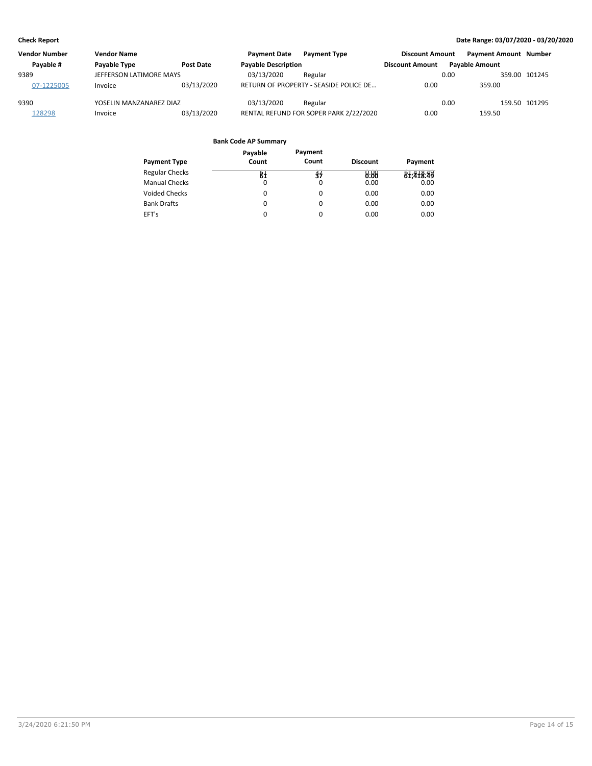| <b>Vendor Number</b> | <b>Vendor Name</b>      |                  | <b>Payment Date</b>        | <b>Payment Type</b>                    | <b>Discount Amount</b> | <b>Payment Amount Number</b> |               |
|----------------------|-------------------------|------------------|----------------------------|----------------------------------------|------------------------|------------------------------|---------------|
| Pavable #            | Payable Type            | <b>Post Date</b> | <b>Payable Description</b> |                                        | <b>Discount Amount</b> | <b>Pavable Amount</b>        |               |
| 9389                 | JEFFERSON LATIMORE MAYS |                  | 03/13/2020                 | Regular                                |                        | 0.00                         | 359.00 101245 |
| 07-1225005           | Invoice                 | 03/13/2020       |                            | RETURN OF PROPERTY - SEASIDE POLICE DE | 0.00                   | 359.00                       |               |
| 9390                 | YOSELIN MANZANAREZ DIAZ |                  | 03/13/2020                 | Regular                                |                        | 0.00                         | 159.50 101295 |
| 128298               | Invoice                 | 03/13/2020       |                            | RENTAL REFUND FOR SOPER PARK 2/22/2020 | 0.00                   | 159.50                       |               |

| Payment Type          | Payable<br>Count | Payment<br>Count | <b>Discount</b> | Payment   |
|-----------------------|------------------|------------------|-----------------|-----------|
| <b>Regular Checks</b> | 81               | žź               | 0.88            | 81,418.49 |
| <b>Manual Checks</b>  | 0                | 0                | 0.00            | 0.00      |
| Voided Checks         | $\Omega$         | 0                | 0.00            | 0.00      |
| <b>Bank Drafts</b>    | 0                | 0                | 0.00            | 0.00      |
| EFT's                 | $\Omega$         | 0                | 0.00            | 0.00      |
|                       |                  |                  |                 |           |